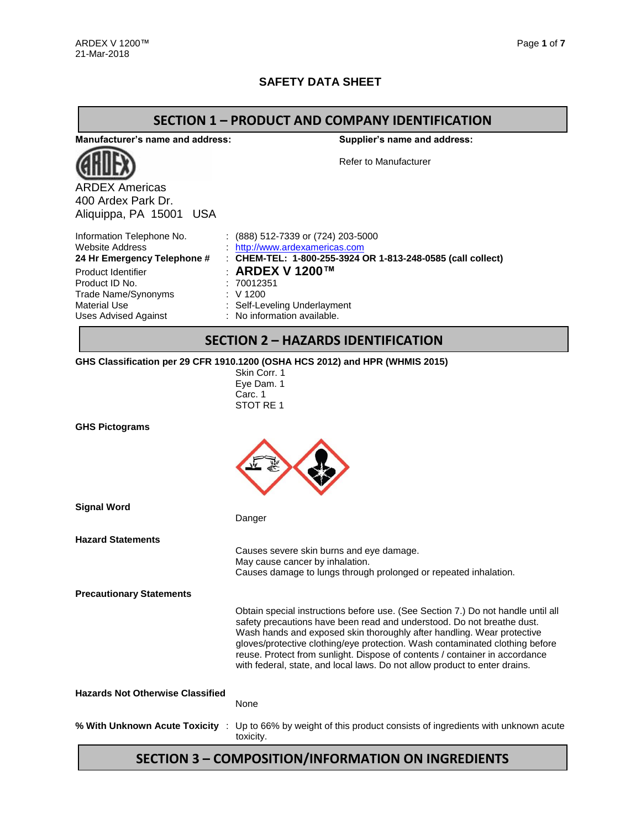### **SAFETY DATA SHEET**

#### **SECTION 1 – PRODUCT AND COMPANY IDENTIFICATION**

**Manufacturer's name and address:**



ARDEX Americas 400 Ardex Park Dr. Aliquippa, PA 15001 USA **Supplier's name and address:**

Refer to Manufacturer

| Information Telephone No.   | $(888)$ 512-7339 or (724) 203-5000                          |
|-----------------------------|-------------------------------------------------------------|
| Website Address             | http://www.ardexamericas.com                                |
| 24 Hr Emergency Telephone # | : CHEM-TEL: 1-800-255-3924 OR 1-813-248-0585 (call collect) |
| Product Identifier          | ∴ ARDEX V 1200™                                             |
| Product ID No.              | . 70012351                                                  |
| Trade Name/Synonyms         | : V1200                                                     |
| Material Use                | : Self-Leveling Underlayment                                |
| Uses Advised Against        | : No information available.                                 |
|                             |                                                             |

# **SECTION 2 – HAZARDS IDENTIFICATION**

#### **GHS Classification per 29 CFR 1910.1200 (OSHA HCS 2012) and HPR (WHMIS 2015)**

Skin Corr. 1 Eye Dam. 1 Carc. 1 STOT RE 1

| <b>Signal Word</b>                      | Danger                                                                                                                                                                                                                                                                                                                                                                                                                                                                            |
|-----------------------------------------|-----------------------------------------------------------------------------------------------------------------------------------------------------------------------------------------------------------------------------------------------------------------------------------------------------------------------------------------------------------------------------------------------------------------------------------------------------------------------------------|
| <b>Hazard Statements</b>                | Causes severe skin burns and eye damage.<br>May cause cancer by inhalation.<br>Causes damage to lungs through prolonged or repeated inhalation.                                                                                                                                                                                                                                                                                                                                   |
| <b>Precautionary Statements</b>         |                                                                                                                                                                                                                                                                                                                                                                                                                                                                                   |
|                                         | Obtain special instructions before use. (See Section 7.) Do not handle until all<br>safety precautions have been read and understood. Do not breathe dust.<br>Wash hands and exposed skin thoroughly after handling. Wear protective<br>gloves/protective clothing/eye protection. Wash contaminated clothing before<br>reuse. Protect from sunlight. Dispose of contents / container in accordance<br>with federal, state, and local laws. Do not allow product to enter drains. |
| <b>Hazards Not Otherwise Classified</b> | None                                                                                                                                                                                                                                                                                                                                                                                                                                                                              |
| % With Unknown Acute Toxicity :         | Up to 66% by weight of this product consists of ingredients with unknown acute<br>toxicity.                                                                                                                                                                                                                                                                                                                                                                                       |

## **SECTION 3 – COMPOSITION/INFORMATION ON INGREDIENTS**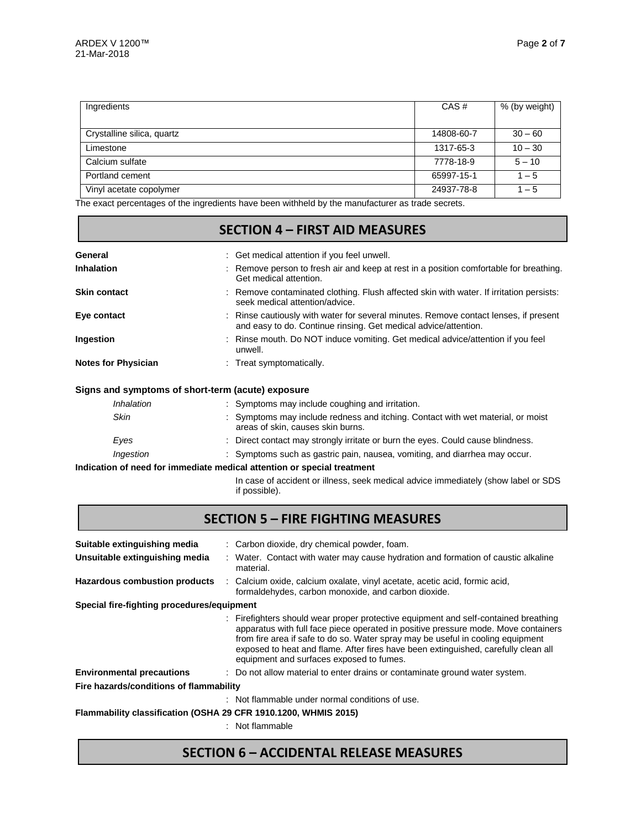| Ingredients                | CAS#       | % (by weight) |
|----------------------------|------------|---------------|
|                            |            |               |
| Crystalline silica, quartz | 14808-60-7 | $30 - 60$     |
| Limestone                  | 1317-65-3  | $10 - 30$     |
| Calcium sulfate            | 7778-18-9  | $5 - 10$      |
| Portland cement            | 65997-15-1 | $1 - 5$       |
| Vinyl acetate copolymer    | 24937-78-8 | $1 - 5$       |

The exact percentages of the ingredients have been withheld by the manufacturer as trade secrets.

|                            | <b>SECTION 4 - FIRST AID MEASURES</b>                                                                                                                   |  |  |  |  |  |  |  |
|----------------------------|---------------------------------------------------------------------------------------------------------------------------------------------------------|--|--|--|--|--|--|--|
| General                    | : Get medical attention if you feel unwell.                                                                                                             |  |  |  |  |  |  |  |
| <b>Inhalation</b>          | Remove person to fresh air and keep at rest in a position comfortable for breathing.<br>Get medical attention.                                          |  |  |  |  |  |  |  |
| <b>Skin contact</b>        | : Remove contaminated clothing. Flush affected skin with water. If irritation persists:<br>seek medical attention/advice.                               |  |  |  |  |  |  |  |
| Eye contact                | : Rinse cautiously with water for several minutes. Remove contact lenses, if present<br>and easy to do. Continue rinsing. Get medical advice/attention. |  |  |  |  |  |  |  |
| Ingestion                  | : Rinse mouth. Do NOT induce vomiting. Get medical advice/attention if you feel<br>unwell.                                                              |  |  |  |  |  |  |  |
| <b>Notes for Physician</b> | : Treat symptomatically.                                                                                                                                |  |  |  |  |  |  |  |
|                            | Signs and symptoms of short-term (acute) exposure                                                                                                       |  |  |  |  |  |  |  |
| Inhalation                 | : Symptoms may include coughing and irritation.                                                                                                         |  |  |  |  |  |  |  |
| Skin                       | : Symptoms may include redness and itching. Contact with wet material, or moist<br>areas of skin, causes skin burns.                                    |  |  |  |  |  |  |  |

| Eyes      | Direct contact may strongly irritate or burn the eyes. Could cause blindness. |
|-----------|-------------------------------------------------------------------------------|
| Ingestion | : Symptoms such as gastric pain, nausea, vomiting, and diarrhea may occur.    |

#### **Indication of need for immediate medical attention or special treatment**

In case of accident or illness, seek medical advice immediately (show label or SDS if possible).

| <b>SECTION 5 - FIRE FIGHTING MEASURES</b>                       |  |                                                                                                                                                                                                                                                                                                                                                                                                |  |  |  |  |
|-----------------------------------------------------------------|--|------------------------------------------------------------------------------------------------------------------------------------------------------------------------------------------------------------------------------------------------------------------------------------------------------------------------------------------------------------------------------------------------|--|--|--|--|
| Suitable extinguishing media                                    |  | : Carbon dioxide, dry chemical powder, foam.                                                                                                                                                                                                                                                                                                                                                   |  |  |  |  |
| Unsuitable extinguishing media                                  |  | : Water. Contact with water may cause hydration and formation of caustic alkaline<br>material.                                                                                                                                                                                                                                                                                                 |  |  |  |  |
| <b>Hazardous combustion products</b>                            |  | : Calcium oxide, calcium oxalate, vinyl acetate, acetic acid, formic acid,<br>formaldehydes, carbon monoxide, and carbon dioxide.                                                                                                                                                                                                                                                              |  |  |  |  |
| Special fire-fighting procedures/equipment                      |  |                                                                                                                                                                                                                                                                                                                                                                                                |  |  |  |  |
|                                                                 |  | : Firefighters should wear proper protective equipment and self-contained breathing<br>apparatus with full face piece operated in positive pressure mode. Move containers<br>from fire area if safe to do so. Water spray may be useful in cooling equipment<br>exposed to heat and flame. After fires have been extinguished, carefully clean all<br>equipment and surfaces exposed to fumes. |  |  |  |  |
| <b>Environmental precautions</b>                                |  | : Do not allow material to enter drains or contaminate ground water system.                                                                                                                                                                                                                                                                                                                    |  |  |  |  |
| Fire hazards/conditions of flammability                         |  |                                                                                                                                                                                                                                                                                                                                                                                                |  |  |  |  |
|                                                                 |  | : Not flammable under normal conditions of use.                                                                                                                                                                                                                                                                                                                                                |  |  |  |  |
| Flammability classification (OSHA 29 CFR 1910.1200, WHMIS 2015) |  |                                                                                                                                                                                                                                                                                                                                                                                                |  |  |  |  |
|                                                                 |  | : Not flammable                                                                                                                                                                                                                                                                                                                                                                                |  |  |  |  |

# **SECTION 6 – ACCIDENTAL RELEASE MEASURES**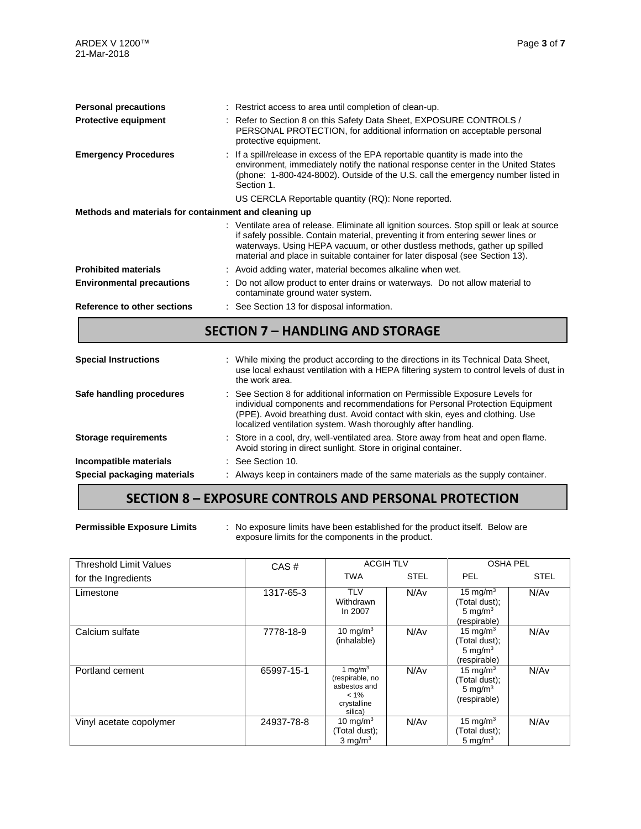| <b>Personal precautions</b>                           | : Restrict access to area until completion of clean-up.                                                                                                                                                                                                                                                                                      |
|-------------------------------------------------------|----------------------------------------------------------------------------------------------------------------------------------------------------------------------------------------------------------------------------------------------------------------------------------------------------------------------------------------------|
| <b>Protective equipment</b>                           | : Refer to Section 8 on this Safety Data Sheet, EXPOSURE CONTROLS /<br>PERSONAL PROTECTION, for additional information on acceptable personal<br>protective equipment.                                                                                                                                                                       |
| <b>Emergency Procedures</b>                           | If a spill/release in excess of the EPA reportable quantity is made into the<br>environment, immediately notify the national response center in the United States<br>(phone: 1-800-424-8002). Outside of the U.S. call the emergency number listed in<br>Section 1.                                                                          |
|                                                       | US CERCLA Reportable quantity (RQ): None reported.                                                                                                                                                                                                                                                                                           |
| Methods and materials for containment and cleaning up |                                                                                                                                                                                                                                                                                                                                              |
|                                                       | : Ventilate area of release. Eliminate all ignition sources. Stop spill or leak at source<br>if safely possible. Contain material, preventing it from entering sewer lines or<br>waterways. Using HEPA vacuum, or other dustless methods, gather up spilled<br>material and place in suitable container for later disposal (see Section 13). |
| <b>Prohibited materials</b>                           | : Avoid adding water, material becomes alkaline when wet.                                                                                                                                                                                                                                                                                    |
| <b>Environmental precautions</b>                      | Do not allow product to enter drains or waterways. Do not allow material to<br>contaminate ground water system.                                                                                                                                                                                                                              |
| <b>Reference to other sections</b>                    | : See Section 13 for disposal information.                                                                                                                                                                                                                                                                                                   |
|                                                       | <b>SECTION 7 - HANDLING AND STORAGE</b>                                                                                                                                                                                                                                                                                                      |
| <b>Special Instructions</b>                           | : While mixing the product according to the directions in its Technical Data Sheet,<br>use local exhaust ventilation with a HEPA filtering system to control levels of dust in<br>the work area.                                                                                                                                             |

| Safe handling procedures    | : See Section 8 for additional information on Permissible Exposure Levels for<br>individual components and recommendations for Personal Protection Equipment<br>(PPE). Avoid breathing dust. Avoid contact with skin, eyes and clothing. Use<br>localized ventilation system. Wash thoroughly after handling. |  |  |  |
|-----------------------------|---------------------------------------------------------------------------------------------------------------------------------------------------------------------------------------------------------------------------------------------------------------------------------------------------------------|--|--|--|
| <b>Storage requirements</b> | : Store in a cool, dry, well-ventilated area. Store away from heat and open flame.<br>Avoid storing in direct sunlight. Store in original container.                                                                                                                                                          |  |  |  |
| Incompatible materials      | $\therefore$ See Section 10.                                                                                                                                                                                                                                                                                  |  |  |  |
| Special packaging materials | : Always keep in containers made of the same materials as the supply container.                                                                                                                                                                                                                               |  |  |  |

### **SECTION 8 – EXPOSURE CONTROLS AND PERSONAL PROTECTION**

**Permissible Exposure Limits** : No exposure limits have been established for the product itself. Below are exposure limits for the components in the product.

| <b>Threshold Limit Values</b> | CAS#       |                                                                                    | <b>ACGIH TLV</b> | <b>OSHA PEL</b>                                            |             |  |
|-------------------------------|------------|------------------------------------------------------------------------------------|------------------|------------------------------------------------------------|-------------|--|
| for the Ingredients           |            | <b>TWA</b>                                                                         | <b>STEL</b>      | <b>PEL</b>                                                 | <b>STEL</b> |  |
| Limestone                     | 1317-65-3  | <b>TLV</b><br>Withdrawn<br>In 2007                                                 | N/Av             | 15 mg/m $3$<br>(Total dust);<br>5 mg/ $m3$<br>(respirable) | N/Av        |  |
| Calcium sulfate               | 7778-18-9  | 10 mg/m $3$<br>(inhalable)                                                         | N/Av             | 15 mg/m $3$<br>(Total dust);<br>5 mg/ $m3$<br>(respirable) | N/Av        |  |
| Portland cement               | 65997-15-1 | 1 mg/m $3$<br>(respirable, no<br>asbestos and<br>$< 1\%$<br>crystalline<br>silica) | N/Av             | 15 mg/m $3$<br>(Total dust);<br>5 mg/ $m3$<br>(respirable) | N/Av        |  |
| Vinyl acetate copolymer       | 24937-78-8 | 10 mg/m $3$<br>(Total dust);<br>$3 \text{ mg/m}^3$                                 | N/Av             | 15 mg/m $3$<br>(Total dust);<br>5 mg/m $3$                 | N/Av        |  |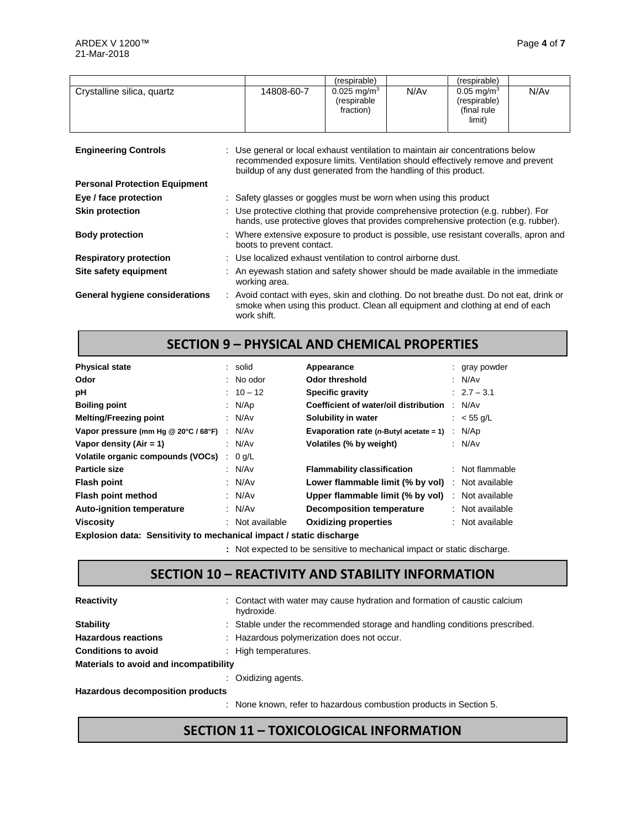|                                      |                                                                                                                                                                          |            | (respirable)                                                                                                                                                                                                                          |      | (respirable)                                                      |      |
|--------------------------------------|--------------------------------------------------------------------------------------------------------------------------------------------------------------------------|------------|---------------------------------------------------------------------------------------------------------------------------------------------------------------------------------------------------------------------------------------|------|-------------------------------------------------------------------|------|
| Crystalline silica, quartz           |                                                                                                                                                                          | 14808-60-7 | $0.025 \,\mathrm{mq/m^3}$<br>(respirable<br>fraction)                                                                                                                                                                                 | N/Av | $0.05 \,\mathrm{mq/m^3}$<br>(respirable)<br>(final rule<br>limit) | N/Av |
| <b>Engineering Controls</b>          |                                                                                                                                                                          |            | : Use general or local exhaust ventilation to maintain air concentrations below<br>recommended exposure limits. Ventilation should effectively remove and prevent<br>buildup of any dust generated from the handling of this product. |      |                                                                   |      |
| <b>Personal Protection Equipment</b> |                                                                                                                                                                          |            |                                                                                                                                                                                                                                       |      |                                                                   |      |
| Eye / face protection                | : Safety glasses or goggles must be worn when using this product                                                                                                         |            |                                                                                                                                                                                                                                       |      |                                                                   |      |
| <b>Skin protection</b>               | : Use protective clothing that provide comprehensive protection (e.g. rubber). For<br>hands, use protective gloves that provides comprehensive protection (e.g. rubber). |            |                                                                                                                                                                                                                                       |      |                                                                   |      |
| <b>Body protection</b>               | Where extensive exposure to product is possible, use resistant coveralls, apron and<br>boots to prevent contact.                                                         |            |                                                                                                                                                                                                                                       |      |                                                                   |      |
| <b>Respiratory protection</b>        | : Use localized exhaust ventilation to control airborne dust.                                                                                                            |            |                                                                                                                                                                                                                                       |      |                                                                   |      |
| Site safety equipment                | : An eyewash station and safety shower should be made available in the immediate<br>working area.                                                                        |            |                                                                                                                                                                                                                                       |      |                                                                   |      |
| General hygiene considerations       | work shift.                                                                                                                                                              |            | : Avoid contact with eyes, skin and clothing. Do not breathe dust. Do not eat, drink or<br>smoke when using this product. Clean all equipment and clothing at end of each                                                             |      |                                                                   |      |

# **SECTION 9 – PHYSICAL AND CHEMICAL PROPERTIES**

| <b>Physical state</b>                |                | : solid         | Appearance                                              | : gray powder     |
|--------------------------------------|----------------|-----------------|---------------------------------------------------------|-------------------|
| Odor                                 |                | $:$ No odor     | Odor threshold                                          | : $N/Av$          |
| рH                                   |                | $: 10 - 12$     | Specific gravity                                        | $: 2.7 - 3.1$     |
| <b>Boiling point</b>                 |                | : $N/Ap$        | Coefficient of water/oil distribution                   | N/Av              |
| <b>Melting/Freezing point</b>        |                | : N/Av          | Solubility in water                                     | : $<$ 55 g/L      |
| Vapor pressure (mm Hg @ 20°C / 68°F) | $\mathbb{R}^n$ | N/Av            | Evaporation rate ( $n$ -Butyl acetate = 1)              | : $N/Ap$          |
| Vapor density $(Air = 1)$            |                | : N/Av          | Volatiles (% by weight)                                 | : N/Av            |
| Volatile organic compounds (VOCs)    | ÷              | $0$ g/L         |                                                         |                   |
| Particle size                        |                | : N/Av          | <b>Flammability classification</b>                      | $:$ Not flammable |
| <b>Flash point</b>                   |                | : $N/Av$        | <b>Lower flammable limit (% by vol)</b> : Not available |                   |
| Flash point method                   |                | : $N/Av$        | Upper flammable limit (% by vol)                        | : Not available   |
| <b>Auto-ignition temperature</b>     |                | : $N/Av$        | <b>Decomposition temperature</b>                        | : Not available   |
| <b>Viscosity</b>                     |                | : Not available | <b>Oxidizing properties</b>                             | : Not available   |

**Explosion data: Sensitivity to mechanical impact / static discharge**

**:** Not expected to be sensitive to mechanical impact or static discharge.

### **SECTION 10 – REACTIVITY AND STABILITY INFORMATION**

| <b>Reactivity</b>                       | : Contact with water may cause hydration and formation of caustic calcium<br>hydroxide. |
|-----------------------------------------|-----------------------------------------------------------------------------------------|
| <b>Stability</b>                        | : Stable under the recommended storage and handling conditions prescribed.              |
| <b>Hazardous reactions</b>              | : Hazardous polymerization does not occur.                                              |
| <b>Conditions to avoid</b>              | : High temperatures.                                                                    |
| Materials to avoid and incompatibility  |                                                                                         |
|                                         | $\therefore$ Oxidizing agents.                                                          |
| <b>Hazardous decomposition products</b> |                                                                                         |

: None known, refer to hazardous combustion products in Section 5.

### **SECTION 11 – TOXICOLOGICAL INFORMATION**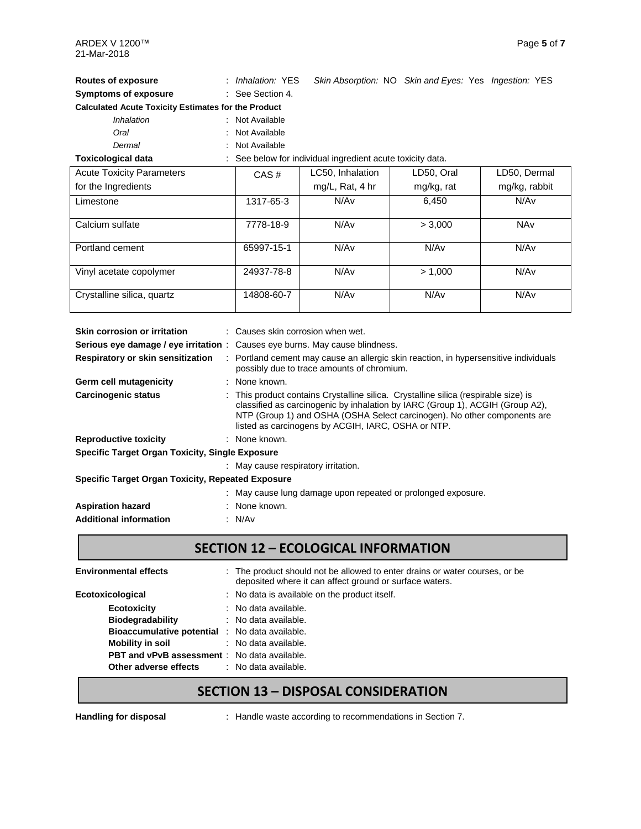| <b>Routes of exposure</b>                                  | : Inhalation: YES                      |                                                          | Skin Absorption: NO Skin and Eyes: Yes Ingestion: YES |               |
|------------------------------------------------------------|----------------------------------------|----------------------------------------------------------|-------------------------------------------------------|---------------|
| <b>Symptoms of exposure</b>                                | : See Section 4.                       |                                                          |                                                       |               |
| <b>Calculated Acute Toxicity Estimates for the Product</b> |                                        |                                                          |                                                       |               |
| <b>Inhalation</b>                                          | Not Available                          |                                                          |                                                       |               |
| Oral                                                       | Not Available                          |                                                          |                                                       |               |
| Dermal                                                     | Not Available                          |                                                          |                                                       |               |
| <b>Toxicological data</b>                                  |                                        | See below for individual ingredient acute toxicity data. |                                                       |               |
| <b>Acute Toxicity Parameters</b>                           | CAS#                                   | LC50, Inhalation                                         | LD50, Oral                                            | LD50, Dermal  |
| for the Ingredients                                        |                                        | mg/L, Rat, $4$ hr                                        | mg/kg, rat                                            | mg/kg, rabbit |
| Limestone                                                  | 1317-65-3                              | N/Av                                                     | 6,450                                                 | N/Av          |
| Calcium sulfate                                            | 7778-18-9                              | N/Av                                                     | > 3,000                                               | <b>NAv</b>    |
| Portland cement                                            | 65997-15-1                             | N/Av                                                     | N/Av                                                  | N/Av          |
| Vinyl acetate copolymer                                    | 24937-78-8                             | N/Av                                                     | > 1,000                                               | N/Av          |
| Crystalline silica, quartz                                 | 14808-60-7                             | N/Av                                                     | N/Av                                                  | N/Av          |
| Skin corrocion or irritation                               | $\cdot$ Couses skin corresion when wet |                                                          |                                                       |               |

| : Causes skin corrosion when wet.                                                                                                                                                                                                                                                                      |
|--------------------------------------------------------------------------------------------------------------------------------------------------------------------------------------------------------------------------------------------------------------------------------------------------------|
| <b>Serious eye damage / eye irritation</b> : Causes eye burns. May cause blindness.                                                                                                                                                                                                                    |
| : Portland cement may cause an allergic skin reaction, in hypersensitive individuals<br>possibly due to trace amounts of chromium.                                                                                                                                                                     |
| : None known.                                                                                                                                                                                                                                                                                          |
| : This product contains Crystalline silica. Crystalline silica (respirable size) is<br>classified as carcinogenic by inhalation by IARC (Group 1), ACGIH (Group A2),<br>NTP (Group 1) and OSHA (OSHA Select carcinogen). No other components are<br>listed as carcinogens by ACGIH, IARC, OSHA or NTP. |
| : None known.                                                                                                                                                                                                                                                                                          |
| Specific Target Organ Toxicity, Single Exposure                                                                                                                                                                                                                                                        |
| : May cause respiratory irritation.                                                                                                                                                                                                                                                                    |
| Specific Target Organ Toxicity, Repeated Exposure                                                                                                                                                                                                                                                      |
| : May cause lung damage upon repeated or prolonged exposure.                                                                                                                                                                                                                                           |
| : None known.                                                                                                                                                                                                                                                                                          |
| : N/Av                                                                                                                                                                                                                                                                                                 |
|                                                                                                                                                                                                                                                                                                        |

### **SECTION 12 – ECOLOGICAL INFORMATION**

| <b>Environmental effects</b>                          | : The product should not be allowed to enter drains or water courses, or be<br>deposited where it can affect ground or surface waters. |
|-------------------------------------------------------|----------------------------------------------------------------------------------------------------------------------------------------|
| Ecotoxicological                                      | : No data is available on the product itself.                                                                                          |
| <b>Ecotoxicity</b>                                    | $:$ No data available.                                                                                                                 |
| <b>Biodegradability</b>                               | : No data available.                                                                                                                   |
| <b>Bioaccumulative potential</b> : No data available. |                                                                                                                                        |
| Mobility in soil                                      | : No data available.                                                                                                                   |
| <b>PBT and vPvB assessment</b> : No data available.   |                                                                                                                                        |
| <b>Other adverse effects</b> : No data available.     |                                                                                                                                        |

# **SECTION 13 – DISPOSAL CONSIDERATION**

**Handling for disposal** : Handle waste according to recommendations in Section 7.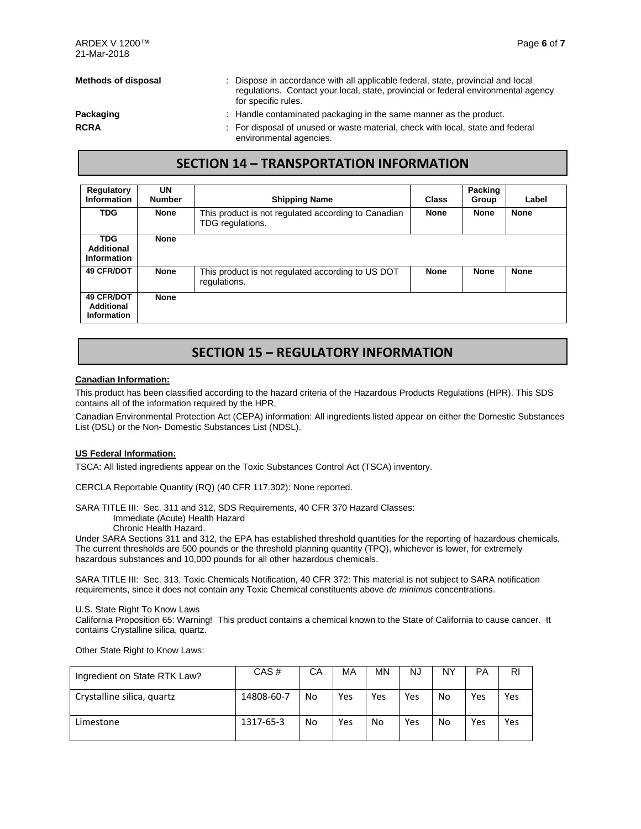- **Methods of disposal** : Dispose in accordance with all applicable federal, state, provincial and local regulations. Contact your local, state, provincial or federal environmental agency for specific rules.
- 
- **Packaging Packaging Example 20** : Handle contaminated packaging in the same manner as the product.
- **RCRA Example 20** : For disposal of unused or waste material, check with local, state and federal environmental agencies.

#### **SECTION 14 – TRANSPORTATION INFORMATION**

| Regulatory<br><b>Information</b>               | UN<br><b>Number</b> | <b>Shipping Name</b>                                                    | Class       | <b>Packing</b><br>Group | Label       |
|------------------------------------------------|---------------------|-------------------------------------------------------------------------|-------------|-------------------------|-------------|
| <b>TDG</b>                                     | <b>None</b>         | This product is not regulated according to Canadian<br>TDG regulations. | <b>None</b> | <b>None</b>             | <b>None</b> |
| <b>TDG</b><br>Additional<br>Information        | <b>None</b>         |                                                                         |             |                         |             |
| <b>49 CFR/DOT</b>                              | <b>None</b>         | This product is not regulated according to US DOT<br>regulations.       | <b>None</b> | <b>None</b>             | <b>None</b> |
| <b>49 CFR/DOT</b><br>Additional<br>Information | <b>None</b>         |                                                                         |             |                         |             |

### **SECTION 15 – REGULATORY INFORMATION**

#### **Canadian Information:**

This product has been classified according to the hazard criteria of the Hazardous Products Regulations (HPR). This SDS contains all of the information required by the HPR.

Canadian Environmental Protection Act (CEPA) information: All ingredients listed appear on either the Domestic Substances List (DSL) or the Non- Domestic Substances List (NDSL).

#### **US Federal Information:**

TSCA: All listed ingredients appear on the Toxic Substances Control Act (TSCA) inventory.

CERCLA Reportable Quantity (RQ) (40 CFR 117.302): None reported.

SARA TITLE III: Sec. 311 and 312, SDS Requirements, 40 CFR 370 Hazard Classes:

Immediate (Acute) Health Hazard

Chronic Health Hazard.

Under SARA Sections 311 and 312, the EPA has established threshold quantities for the reporting of hazardous chemicals. The current thresholds are 500 pounds or the threshold planning quantity (TPQ), whichever is lower, for extremely hazardous substances and 10,000 pounds for all other hazardous chemicals.

SARA TITLE III: Sec. 313, Toxic Chemicals Notification, 40 CFR 372: This material is not subject to SARA notification requirements, since it does not contain any Toxic Chemical constituents above *de minimus* concentrations.

U.S. State Right To Know Laws

California Proposition 65: Warning! This product contains a chemical known to the State of California to cause cancer. It contains Crystalline silica, quartz.

Other State Right to Know Laws:

| Ingredient on State RTK Law? | CAS#       | СA | MA  | MΝ  | NJ  | NY | PA  | RI  |
|------------------------------|------------|----|-----|-----|-----|----|-----|-----|
| Crystalline silica, quartz   | 14808-60-7 | No | Yes | Yes | Yes | No | Yes | Yes |
| Limestone                    | 1317-65-3  | No | Yes | No  | Yes | No | Yes | Yes |